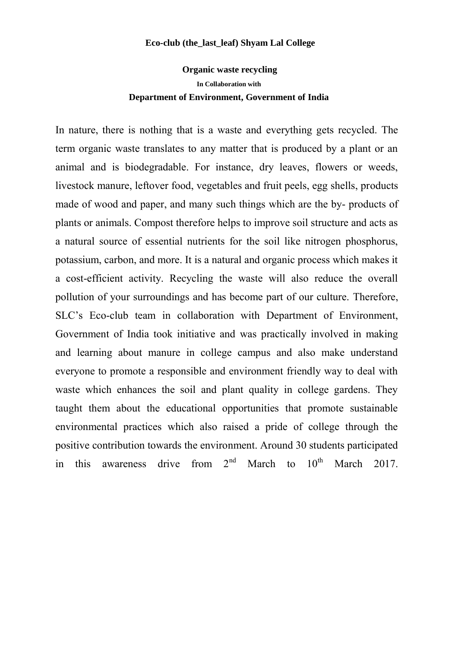## **Eco-club (the\_last\_leaf) Shyam Lal College**

## **Organic waste recycling In Collaboration with Department of Environment, Government of India**

In nature, there is nothing that is a waste and everything gets recycled. The term organic waste translates to any matter that is produced by a plant or an animal and is biodegradable. For instance, dry leaves, flowers or weeds, livestock manure, leftover food, vegetables and fruit peels, egg shells, products made of wood and paper, and many such things which are the by- products of plants or animals. Compost therefore helps to improve soil structure and acts as a natural source of essential nutrients for the soil like nitrogen phosphorus, potassium, carbon, and more. It is a natural and organic process which makes it a cost-efficient activity. Recycling the waste will also reduce the overall pollution of your surroundings and has become part of our culture. Therefore, SLC's Eco-club team in collaboration with Department of Environment, Government of India took initiative and was practically involved in making and learning about manure in college campus and also make understand everyone to promote a responsible and environment friendly way to deal with waste which enhances the soil and plant quality in college gardens. They taught them about the educational opportunities that promote sustainable environmental practices which also raised a pride of college through the positive contribution towards the environment. Around 30 students participated in this awareness drive from  $2^{nd}$  March to  $10^{th}$  March 2017.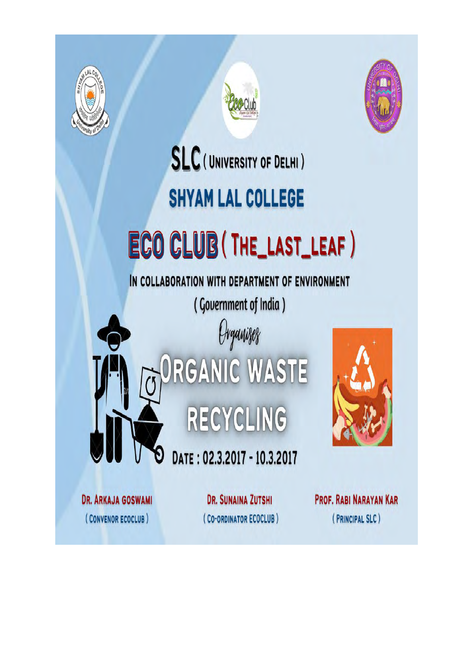





**SLC** (UNIVERSITY OF DELHI) **SHYAM LAL COLLEGE** 

## ECO CLUB (THE\_LAST\_LEAF)

IN COLLABORATION WITH DEPARTMENT OF ENVIRONMENT (Government of India)

Organises

RGANIC WASTE

RECYCLING



DATE: 02.3.2017 - 10.3.2017



**DR. ARKAJA GOSWAMI** (CONVENOR ECOCLUB)

**DR. SUNAINA ZUTSHI** (CO-ORDINATOR ECOCLUB) **PROF. RABI NARAYAN KAR** (PRINCIPAL SLC)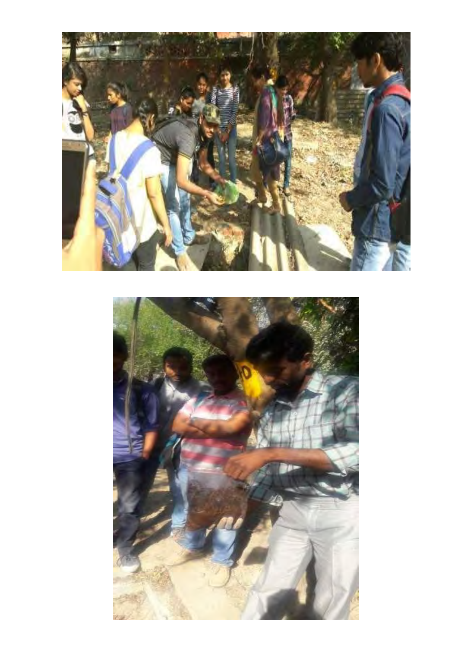